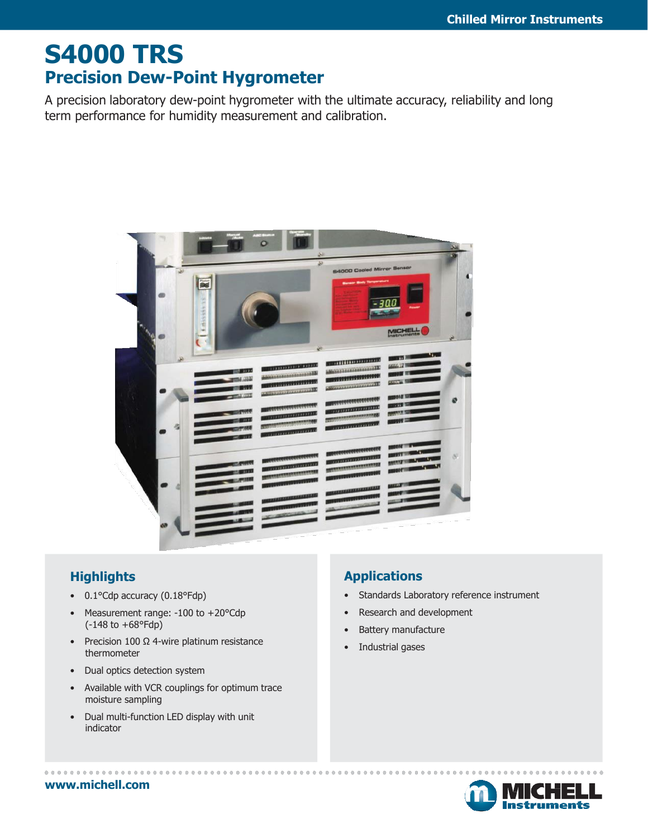## **S4000 TRS Precision Dew-Point Hygrometer**

A precision laboratory dew-point hygrometer with the ultimate accuracy, reliability and long term performance for humidity measurement and calibration.



### **Highlights**

- 0.1°Cdp accuracy (0.18°Fdp)
- Measurement range: -100 to +20°Cdp (-148 to +68°Fdp)
- Precision 100 Ω 4-wire platinum resistance thermometer
- Dual optics detection system
- Available with VCR couplings for optimum trace moisture sampling
- Dual multi-function LED display with unit indicator

### **Applications**

- Standards Laboratory reference instrument
- Research and development
- Battery manufacture
- Industrial gases



#### **[www.michell.com](http://www.michell.com/)**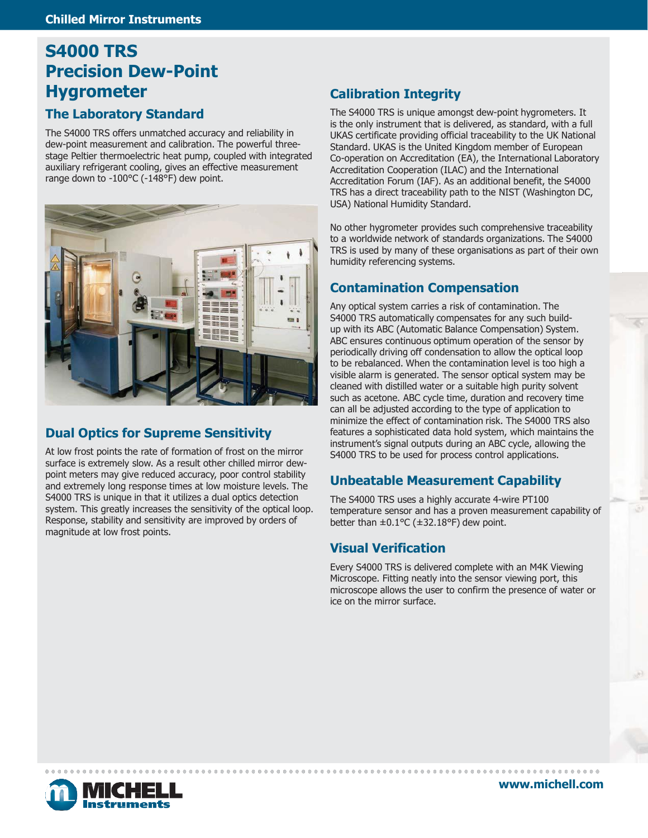## **S4000 TRS Precision Dew-Point Hygrometer**

#### **The Laboratory Standard**

The S4000 TRS offers unmatched accuracy and reliability in dew-point measurement and calibration. The powerful threestage Peltier thermoelectric heat pump, coupled with integrated auxiliary refrigerant cooling, gives an effective measurement range down to -100°C (-148°F) dew point.



#### **Dual Optics for Supreme Sensitivity**

At low frost points the rate of formation of frost on the mirror surface is extremely slow. As a result other chilled mirror dewpoint meters may give reduced accuracy, poor control stability and extremely long response times at low moisture levels. The S4000 TRS is unique in that it utilizes a dual optics detection system. This greatly increases the sensitivity of the optical loop. Response, stability and sensitivity are improved by orders of magnitude at low frost points.

#### **Calibration Integrity**

The S4000 TRS is unique amongst dew-point hygrometers. It is the only instrument that is delivered, as standard, with a full UKAS certificate providing official traceability to the UK National Standard. UKAS is the United Kingdom member of European Co-operation on Accreditation (EA), the International Laboratory Accreditation Cooperation (ILAC) and the International Accreditation Forum (IAF). As an additional benefit, the S4000 TRS has a direct traceability path to the NIST (Washington DC, USA) National Humidity Standard.

No other hygrometer provides such comprehensive traceability to a worldwide network of standards organizations. The S4000 TRS is used by many of these organisations as part of their own humidity referencing systems.

#### **Contamination Compensation**

Any optical system carries a risk of contamination. The S4000 TRS automatically compensates for any such buildup with its ABC (Automatic Balance Compensation) System. ABC ensures continuous optimum operation of the sensor by periodically driving off condensation to allow the optical loop to be rebalanced. When the contamination level is too high a visible alarm is generated. The sensor optical system may be cleaned with distilled water or a suitable high purity solvent such as acetone. ABC cycle time, duration and recovery time can all be adjusted according to the type of application to minimize the effect of contamination risk. The S4000 TRS also features a sophisticated data hold system, which maintains the instrument's signal outputs during an ABC cycle, allowing the S4000 TRS to be used for process control applications.

#### **Unbeatable Measurement Capability**

The S4000 TRS uses a highly accurate 4-wire PT100 temperature sensor and has a proven measurement capability of better than  $\pm 0.1$ °C ( $\pm 32.18$ °F) dew point.

#### **Visual Verification**

Every S4000 TRS is delivered complete with an M4K Viewing Microscope. Fitting neatly into the sensor viewing port, this microscope allows the user to confirm the presence of water or ice on the mirror surface.



**[www.michell.com](http://www.michell.com/)**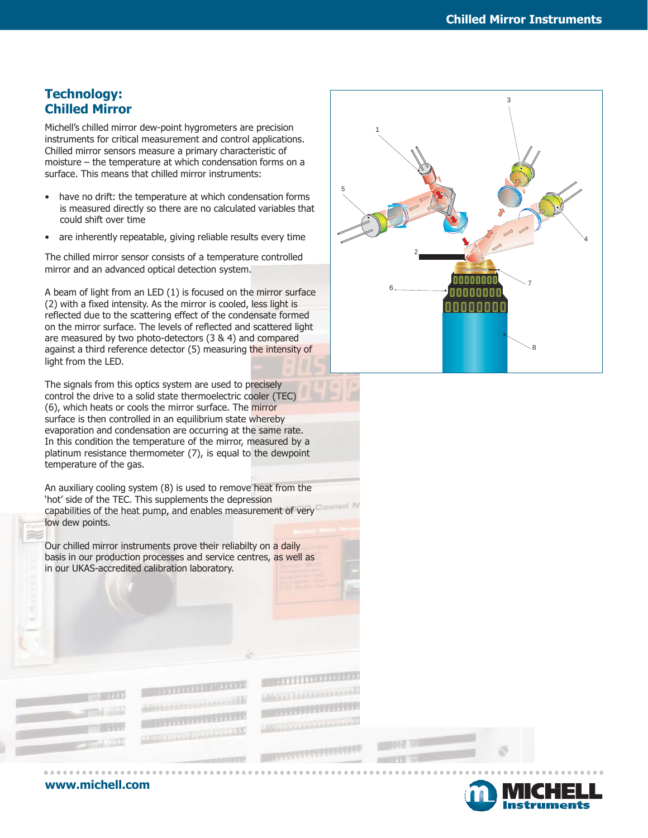#### **Technology: Chilled Mirror**

Michell's chilled mirror dew-point hygrometers are precision <sup>1</sup> instruments for critical measurement and control applications. Chilled mirror sensors measure a primary characteristic of moisture – the temperature at which condensation forms on a surface. This means that chilled mirror instruments:

- have no drift: the temperature at which condensation forms is measured directly so there are no calculated variables that could shift over time
- are inherently repeatable, giving reliable results every time

The chilled mirror sensor consists of a temperature controlled mirror and an advanced optical detection system.

A beam of light from an LED (1) is focused on the mirror surface (2) with a fixed intensity. As the mirror is cooled, less light is reflected due to the scattering effect of the condensate formed on the mirror surface. The levels of reflected and scattered light are measured by two photo-detectors (3 & 4) and compared against a third reference detector (5) measuring the intensity of light from the LED.

The signals from this optics system are used to precisely control the drive to a solid state thermoelectric cooler (TEC) (6), which heats or cools the mirror surface. The mirror surface is then controlled in an equilibrium state whereby evaporation and condensation are occurring at the same rate. In this condition the temperature of the mirror, measured by a platinum resistance thermometer (7), is equal to the dewpoint temperature of the gas.

An auxiliary cooling system (8) is used to remove heat from the 'hot' side of the TEC. This supplements the depression capabilities of the heat pump, and enables measurement of very low dew points.

**TAXABLE IN** 

**THE REAL PROPERTY** 

**MARCH TELEVISION** 

Our chilled mirror instruments prove their reliabilty on a daily basis in our production processes and service centres, as well as in our UKAS-accredited calibration laboratory.





**[www.michell.com](http://www.michell.com/)**